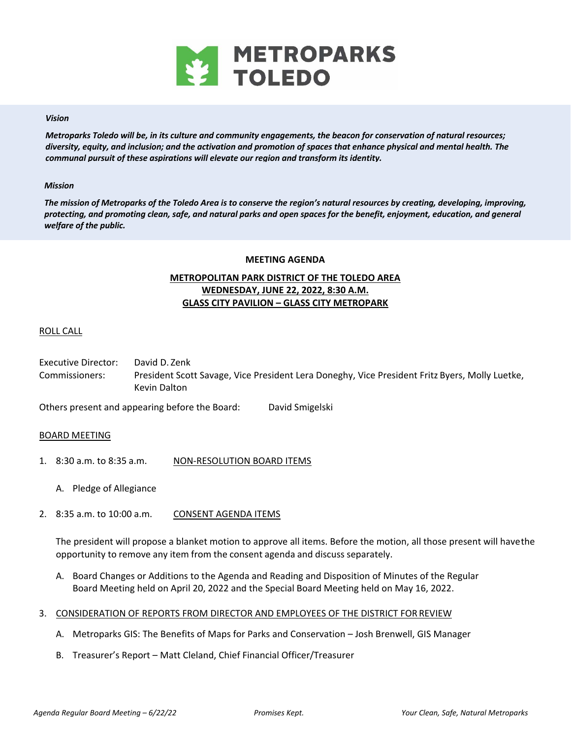

## *Vision*

*Metroparks Toledo will be, in its culture and community engagements, the beacon for conservation of natural resources; diversity, equity, and inclusion; and the activation and promotion of spaces that enhance physical and mental health. The communal pursuit of these aspirations will elevate our region and transform its identity.* 

## *Mission*

*The mission of Metroparks of the Toledo Area is to conserve the region's natural resources by creating, developing, improving, protecting, and promoting clean, safe, and natural parks and open spaces for the benefit, enjoyment, education, and general welfare of the public.* 

## **MEETING AGENDA**

# **METROPOLITAN PARK DISTRICT OF THE TOLEDO AREA WEDNESDAY, JUNE 22, 2022, 8:30 A.M. GLASS CITY PAVILION – GLASS CITY METROPARK**

## ROLL CALL

Executive Director: David D. Zenk Commissioners: President Scott Savage, Vice President Lera Doneghy, Vice President Fritz Byers, Molly Luetke, Kevin Dalton

Others present and appearing before the Board: David Smigelski

## BOARD MEETING

- 1. 8:30 a.m. to 8:35 a.m. NON-RESOLUTION BOARD ITEMS
	- A. Pledge of Allegiance
- 2. 8:35 a.m. to 10:00 a.m. CONSENT AGENDA ITEMS

The president will propose a blanket motion to approve all items. Before the motion, all those present will have the opportunity to remove any item from the consent agenda and discuss separately.

- A. Board Changes or Additions to the Agenda and Reading and Disposition of Minutes of the Regular Board Meeting held on April 20, 2022 and the Special Board Meeting held on May 16, 2022.
- 3. CONSIDERATION OF REPORTS FROM DIRECTOR AND EMPLOYEES OF THE DISTRICT FOR REVIEW
	- A. Metroparks GIS: The Benefits of Maps for Parks and Conservation Josh Brenwell, GIS Manager
	- B. Treasurer's Report Matt Cleland, Chief Financial Officer/Treasurer